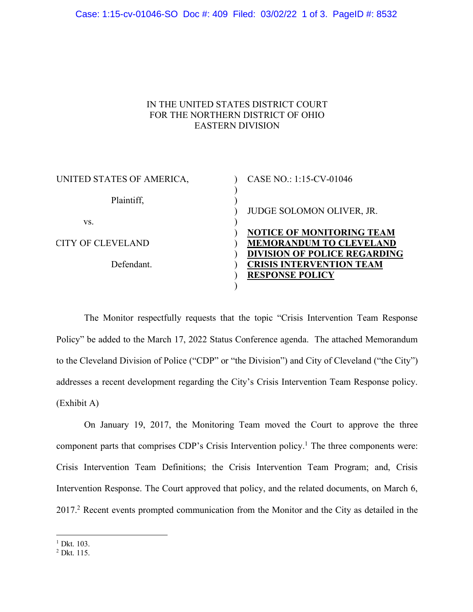## IN THE UNITED STATES DISTRICT COURT FOR THE NORTHERN DISTRICT OF OHIO EASTERN DIVISION

| UNITED STATES OF AMERICA, | CASE NO.: 1:15-CV-01046             |
|---------------------------|-------------------------------------|
| Plaintiff,                | JUDGE SOLOMON OLIVER, JR.           |
| VS.                       |                                     |
|                           | <b>NOTICE OF MONITORING TEAM</b>    |
| CITY OF CLEVELAND         | <b>MEMORANDUM TO CLEVELAND</b>      |
|                           | <b>DIVISION OF POLICE REGARDING</b> |
| Defendant.                | <b>CRISIS INTERVENTION TEAM</b>     |
|                           | <b>RESPONSE POLICY</b>              |
|                           |                                     |

The Monitor respectfully requests that the topic "Crisis Intervention Team Response Policy" be added to the March 17, 2022 Status Conference agenda. The attached Memorandum to the Cleveland Division of Police ("CDP" or "the Division") and City of Cleveland ("the City") addresses a recent development regarding the City's Crisis Intervention Team Response policy. (Exhibit A)

On January 19, 2017, the Monitoring Team moved the Court to approve the three component parts that comprises CDP's Crisis Intervention policy. <sup>1</sup> The three components were: Crisis Intervention Team Definitions; the Crisis Intervention Team Program; and, Crisis Intervention Response. The Court approved that policy, and the related documents, on March 6, 2017. <sup>2</sup> Recent events prompted communication from the Monitor and the City as detailed in the

<sup>&</sup>lt;sup>1</sup> Dkt. 103.

<sup>2</sup> Dkt. 115.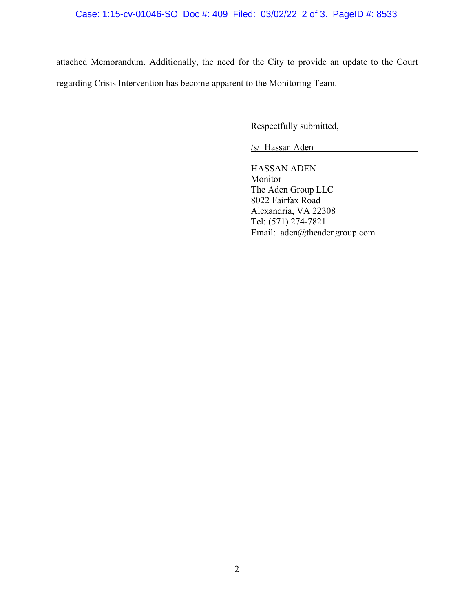attached Memorandum. Additionally, the need for the City to provide an update to the Court regarding Crisis Intervention has become apparent to the Monitoring Team.

Respectfully submitted,

/s/ Hassan Aden

HASSAN ADEN Monitor The Aden Group LLC 8022 Fairfax Road Alexandria, VA 22308 Tel: (571) 274-7821 Email: aden@theadengroup.com